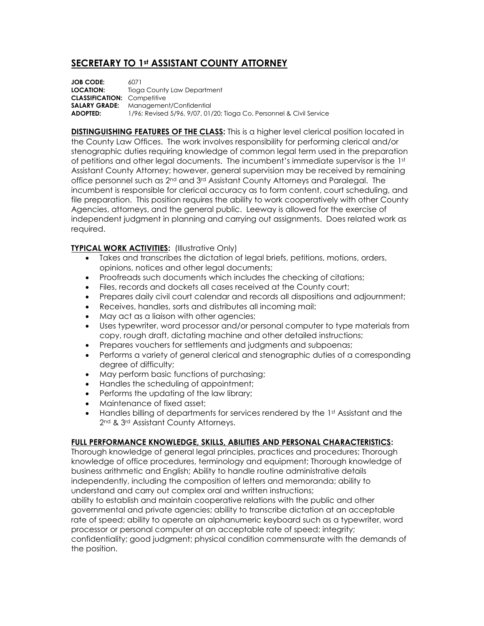## **SECRETARY TO 1st ASSISTANT COUNTY ATTORNEY**

**JOB CODE:** 6071 **LOCATION:** Tioga County Law Department **CLASSIFICATION:** Competitive **SALARY GRADE:** Management/Confidential **ADOPTED:** 1/96; Revised 5/96, 9/07, 01/20; Tioga Co. Personnel & Civil Service

**DISTINGUISHING FEATURES OF THE CLASS:** This is a higher level clerical position located in the County Law Offices. The work involves responsibility for performing clerical and/or stenographic duties requiring knowledge of common legal term used in the preparation of petitions and other legal documents. The incumbent's immediate supervisor is the 1st Assistant County Attorney; however, general supervision may be received by remaining office personnel such as 2nd and 3rd Assistant County Attorneys and Paralegal. The incumbent is responsible for clerical accuracy as to form content, court scheduling, and file preparation. This position requires the ability to work cooperatively with other County Agencies, attorneys, and the general public. Leeway is allowed for the exercise of independent judgment in planning and carrying out assignments. Does related work as required.

## **TYPICAL WORK ACTIVITIES:** (Illustrative Only)

- Takes and transcribes the dictation of legal briefs, petitions, motions, orders, opinions, notices and other legal documents;
- Proofreads such documents which includes the checking of citations;
- Files, records and dockets all cases received at the County court;
- Prepares daily civil court calendar and records all dispositions and adjournment;
- Receives, handles, sorts and distributes all incoming mail;
- May act as a liaison with other agencies;
- Uses typewriter, word processor and/or personal computer to type materials from copy, rough draft, dictating machine and other detailed instructions;
- Prepares vouchers for settlements and judgments and subpoenas;
- Performs a variety of general clerical and stenographic duties of a corresponding degree of difficulty;
- May perform basic functions of purchasing;
- Handles the scheduling of appointment;
- Performs the updating of the law library;
- Maintenance of fixed asset;
- Handles billing of departments for services rendered by the 1st Assistant and the 2<sup>nd</sup> & 3<sup>rd</sup> Assistant County Attorneys.

## **FULL PERFORMANCE KNOWLEDGE, SKILLS, ABILITIES AND PERSONAL CHARACTERISTICS:**

Thorough knowledge of general legal principles, practices and procedures; Thorough knowledge of office procedures, terminology and equipment; Thorough knowledge of business arithmetic and English; Ability to handle routine administrative details independently, including the composition of letters and memoranda; ability to understand and carry out complex oral and written instructions;

ability to establish and maintain cooperative relations with the public and other governmental and private agencies; ability to transcribe dictation at an acceptable rate of speed; ability to operate an alphanumeric keyboard such as a typewriter, word processor or personal computer at an acceptable rate of speed; integrity;

confidentiality; good judgment; physical condition commensurate with the demands of the position.